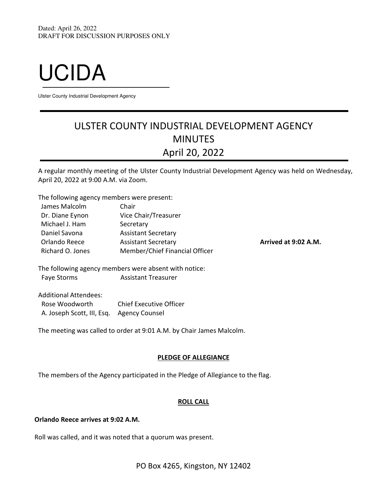# UCIDA

Ulster County Industrial Development Agency

# ULSTER COUNTY INDUSTRIAL DEVELOPMENT AGENCY MINUTES April 20, 2022

A regular monthly meeting of the Ulster County Industrial Development Agency was held on Wednesday, April 20, 2022 at 9:00 A.M. via Zoom.

The following agency members were present:

| James Malcolm    | Chair                          |
|------------------|--------------------------------|
| Dr. Diane Eynon  | Vice Chair/Treasurer           |
| Michael J. Ham   | Secretary                      |
| Daniel Savona    | <b>Assistant Secretary</b>     |
| Orlando Reece    | <b>Assistant Secretary</b>     |
| Richard O. Jones | Member/Chief Financial Officer |

Arrived at 9:02 A.M.

The following agency members were absent with notice: Faye Storms **Assistant Treasurer** 

Additional Attendees: Rose Woodworth Chief Executive Officer A. Joseph Scott, III, Esq. Agency Counsel

The meeting was called to order at 9:01 A.M. by Chair James Malcolm.

# PLEDGE OF ALLEGIANCE

The members of the Agency participated in the Pledge of Allegiance to the flag.

# ROLL CALL

# Orlando Reece arrives at 9:02 A.M.

Roll was called, and it was noted that a quorum was present.

PO Box 4265, Kingston, NY 12402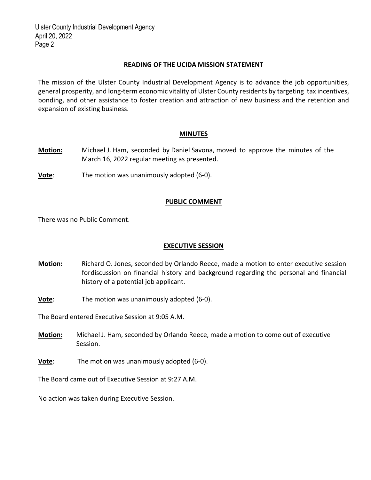# READING OF THE UCIDA MISSION STATEMENT

The mission of the Ulster County Industrial Development Agency is to advance the job opportunities, general prosperity, and long‐term economic vitality of Ulster County residents by targeting tax incentives, bonding, and other assistance to foster creation and attraction of new business and the retention and expansion of existing business.

#### MINUTES

- Motion: Michael J. Ham, seconded by Daniel Savona, moved to approve the minutes of the March 16, 2022 regular meeting as presented.
- **Vote:** The motion was unanimously adopted (6-0).

# PUBLIC COMMENT

There was no Public Comment.

# EXECUTIVE SESSION

- Motion: Richard O. Jones, seconded by Orlando Reece, made a motion to enter executive session fordiscussion on financial history and background regarding the personal and financial history of a potential job applicant.
- **Vote:** The motion was unanimously adopted (6-0).

The Board entered Executive Session at 9:05 A.M.

- **Motion:** Michael J. Ham, seconded by Orlando Reece, made a motion to come out of executive Session.
- Vote: The motion was unanimously adopted (6‐0).

The Board came out of Executive Session at 9:27 A.M.

No action was taken during Executive Session.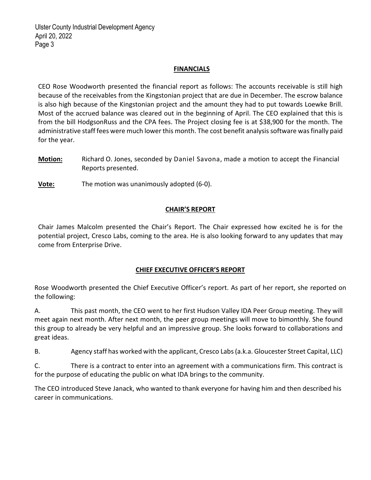# **FINANCIALS**

CEO Rose Woodworth presented the financial report as follows: The accounts receivable is still high because of the receivables from the Kingstonian project that are due in December. The escrow balance is also high because of the Kingstonian project and the amount they had to put towards Loewke Brill. Most of the accrued balance was cleared out in the beginning of April. The CEO explained that this is from the bill HodgsonRuss and the CPA fees. The Project closing fee is at \$38,900 for the month. The administrative staff fees were much lower this month. The cost benefit analysis software was finally paid for the year.

Motion: Richard O. Jones, seconded by Daniel Savona, made a motion to accept the Financial Reports presented.

Vote: The motion was unanimously adopted (6-0).

# CHAIR'S REPORT

Chair James Malcolm presented the Chair's Report. The Chair expressed how excited he is for the potential project, Cresco Labs, coming to the area. He is also looking forward to any updates that may come from Enterprise Drive.

# CHIEF EXECUTIVE OFFICER'S REPORT

Rose Woodworth presented the Chief Executive Officer's report. As part of her report, she reported on the following:

A. This past month, the CEO went to her first Hudson Valley IDA Peer Group meeting. They will meet again next month. After next month, the peer group meetings will move to bimonthly. She found this group to already be very helpful and an impressive group. She looks forward to collaborations and great ideas.

B. Agency staff has worked with the applicant, Cresco Labs (a.k.a. Gloucester Street Capital, LLC)

C. There is a contract to enter into an agreement with a communications firm. This contract is for the purpose of educating the public on what IDA brings to the community.

The CEO introduced Steve Janack, who wanted to thank everyone for having him and then described his career in communications.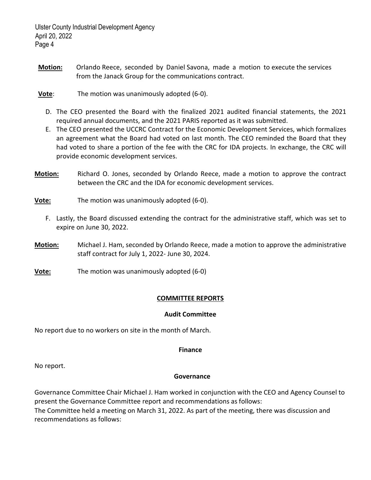- Motion: Orlando Reece, seconded by Daniel Savona, made a motion to execute the services from the Janack Group for the communications contract.
- Vote: The motion was unanimously adopted (6‐0).
	- D. The CEO presented the Board with the finalized 2021 audited financial statements, the 2021 required annual documents, and the 2021 PARIS reported as it was submitted.
	- E. The CEO presented the UCCRC Contract for the Economic Development Services, which formalizes an agreement what the Board had voted on last month. The CEO reminded the Board that they had voted to share a portion of the fee with the CRC for IDA projects. In exchange, the CRC will provide economic development services.
- Motion: Richard O. Jones, seconded by Orlando Reece, made a motion to approve the contract between the CRC and the IDA for economic development services.
- Vote: The motion was unanimously adopted (6-0).
	- F. Lastly, the Board discussed extending the contract for the administrative staff, which was set to expire on June 30, 2022.
- **Motion:** Michael J. Ham, seconded by Orlando Reece, made a motion to approve the administrative staff contract for July 1, 2022‐ June 30, 2024.
- **Vote:** The motion was unanimously adopted (6-0)

# COMMITTEE REPORTS

#### Audit Committee

No report due to no workers on site in the month of March.

# Finance

No report.

# **Governance**

Governance Committee Chair Michael J. Ham worked in conjunction with the CEO and Agency Counsel to present the Governance Committee report and recommendations as follows: The Committee held a meeting on March 31, 2022. As part of the meeting, there was discussion and recommendations as follows: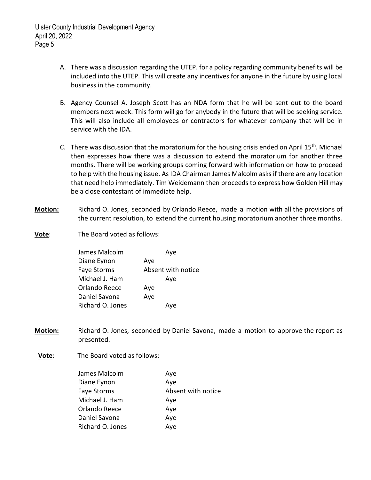- A. There was a discussion regarding the UTEP. for a policy regarding community benefits will be included into the UTEP. This will create any incentives for anyone in the future by using local business in the community.
- B. Agency Counsel A. Joseph Scott has an NDA form that he will be sent out to the board members next week. This form will go for anybody in the future that will be seeking service. This will also include all employees or contractors for whatever company that will be in service with the IDA.
- C. There was discussion that the moratorium for the housing crisis ended on April  $15<sup>th</sup>$ . Michael then expresses how there was a discussion to extend the moratorium for another three months. There will be working groups coming forward with information on how to proceed to help with the housing issue. As IDA Chairman James Malcolm asks if there are any location that need help immediately. Tim Weidemann then proceeds to express how Golden Hill may be a close contestant of immediate help.
- Motion: Richard O. Jones, seconded by Orlando Reece, made a motion with all the provisions of the current resolution, to extend the current housing moratorium another three months.
- Vote: The Board voted as follows:

| James Malcolm      | Ave                |
|--------------------|--------------------|
| Diane Eynon        | Aye                |
| <b>Faye Storms</b> | Absent with notice |
| Michael J. Ham     | Ave                |
| Orlando Reece      | Aye                |
| Daniel Savona      | Aye                |
| Richard O. Jones   | Ave                |

- Motion: Richard O. Jones, seconded by Daniel Savona, made a motion to approve the report as presented.
- Vote: The Board voted as follows:

| James Malcolm    | Aye                |
|------------------|--------------------|
| Diane Eynon      | Aye                |
| Faye Storms      | Absent with notice |
| Michael J. Ham   | Aye                |
| Orlando Reece    | Aye                |
| Daniel Savona    | Aye                |
| Richard O. Jones | Aye                |
|                  |                    |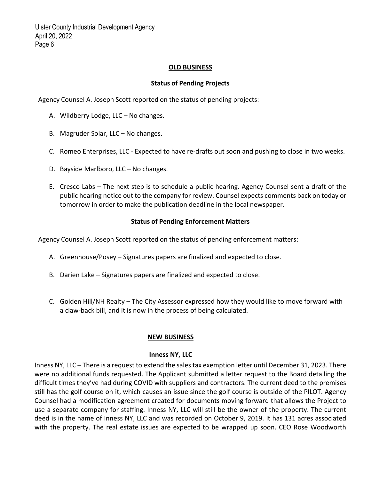# OLD BUSINESS

#### Status of Pending Projects

Agency Counsel A. Joseph Scott reported on the status of pending projects:

- A. Wildberry Lodge, LLC No changes.
- B. Magruder Solar, LLC No changes.
- C. Romeo Enterprises, LLC ‐ Expected to have re‐drafts out soon and pushing to close in two weeks.
- D. Bayside Marlboro, LLC No changes.
- E. Cresco Labs The next step is to schedule a public hearing. Agency Counsel sent a draft of the public hearing notice out to the company for review. Counsel expects comments back on today or tomorrow in order to make the publication deadline in the local newspaper.

#### Status of Pending Enforcement Matters

Agency Counsel A. Joseph Scott reported on the status of pending enforcement matters:

- A. Greenhouse/Posey Signatures papers are finalized and expected to close.
- B. Darien Lake Signatures papers are finalized and expected to close.
- C. Golden Hill/NH Realty The City Assessor expressed how they would like to move forward with a claw‐back bill, and it is now in the process of being calculated.

#### NEW BUSINESS

#### Inness NY, LLC

Inness NY, LLC – There is a request to extend the sales tax exemption letter until December 31, 2023. There were no additional funds requested. The Applicant submitted a letter request to the Board detailing the difficult times they've had during COVID with suppliers and contractors. The current deed to the premises still has the golf course on it, which causes an issue since the golf course is outside of the PILOT. Agency Counsel had a modification agreement created for documents moving forward that allows the Project to use a separate company for staffing. Inness NY, LLC will still be the owner of the property. The current deed is in the name of Inness NY, LLC and was recorded on October 9, 2019. It has 131 acres associated with the property. The real estate issues are expected to be wrapped up soon. CEO Rose Woodworth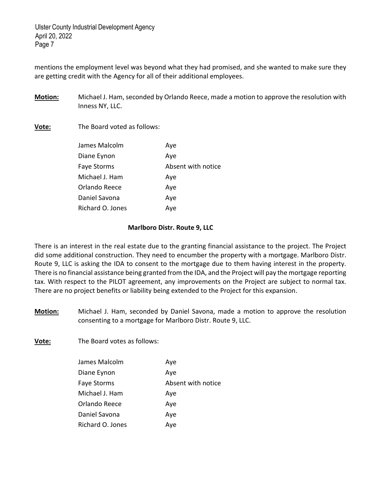mentions the employment level was beyond what they had promised, and she wanted to make sure they are getting credit with the Agency for all of their additional employees.

Motion: Michael J. Ham, seconded by Orlando Reece, made a motion to approve the resolution with Inness NY, LLC.

Vote: The Board voted as follows:

| Aye                |
|--------------------|
| Absent with notice |
| Aye                |
| Aye                |
| Aye                |
| Aye                |
|                    |

#### Marlboro Distr. Route 9, LLC

There is an interest in the real estate due to the granting financial assistance to the project. The Project did some additional construction. They need to encumber the property with a mortgage. Marlboro Distr. Route 9, LLC is asking the IDA to consent to the mortgage due to them having interest in the property. There is no financial assistance being granted from the IDA, and the Project will pay the mortgage reporting tax. With respect to the PILOT agreement, any improvements on the Project are subject to normal tax. There are no project benefits or liability being extended to the Project for this expansion.

Motion: Michael J. Ham, seconded by Daniel Savona, made a motion to approve the resolution consenting to a mortgage for Marlboro Distr. Route 9, LLC.

**Vote:** The Board votes as follows:

| James Malcolm      | Aye                |
|--------------------|--------------------|
| Diane Eynon        | Aye                |
| <b>Faye Storms</b> | Absent with notice |
| Michael J. Ham     | Aye                |
| Orlando Reece      | Aye                |
| Daniel Savona      | Aye                |
| Richard O. Jones   | Aye                |
|                    |                    |